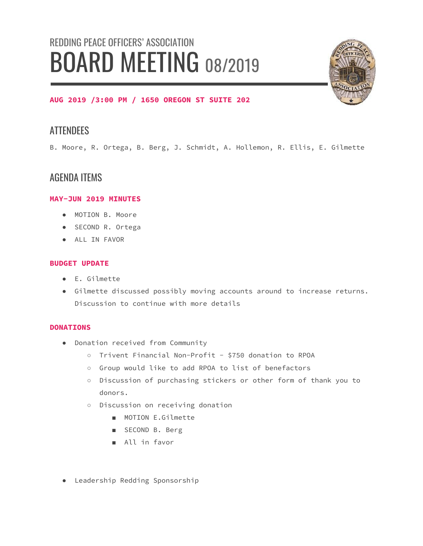# REDDING PEACE OFFICERS' ASSOCIATION BOARD MEETING 08/2019



### **AUG 2019 /3:00 PM / 1650 OREGON ST SUITE 202**

## **ATTENDEES**

B. Moore, R. Ortega, B. Berg, J. Schmidt, A. Hollemon, R. Ellis, E. Gilmette

## AGENDA ITEMS

#### **MAY-JUN 2019 MINUTES**

- MOTION B. Moore
- SECOND R. Ortega
- ALL IN FAVOR

#### **BUDGET UPDATE**

- E. Gilmette
- Gilmette discussed possibly moving accounts around to increase returns. Discussion to continue with more details

#### **DONATIONS**

- Donation received from Community
	- Trivent Financial Non-Profit \$750 donation to RPOA
	- Group would like to add RPOA to list of benefactors
	- Discussion of purchasing stickers or other form of thank you to donors.
	- Discussion on receiving donation
		- MOTION E.Gilmette
		- SECOND B. Berg
		- All in favor
- Leadership Redding Sponsorship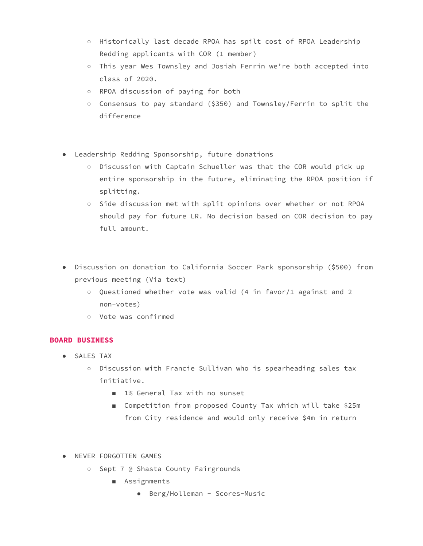- Historically last decade RPOA has spilt cost of RPOA Leadership Redding applicants with COR (1 member)
- This year Wes Townsley and Josiah Ferrin we're both accepted into class of 2020.
- RPOA discussion of paying for both
- Consensus to pay standard (\$350) and Townsley/Ferrin to split the difference
- Leadership Redding Sponsorship, future donations
	- Discussion with Captain Schueller was that the COR would pick up entire sponsorship in the future, eliminating the RPOA position if splitting.
	- Side discussion met with split opinions over whether or not RPOA should pay for future LR. No decision based on COR decision to pay full amount.
- Discussion on donation to California Soccer Park sponsorship (\$500) from previous meeting (Via text)
	- Questioned whether vote was valid (4 in favor/1 against and 2 non-votes)
	- Vote was confirmed

#### **BOARD BUSINESS**

- SALES TAX
	- Discussion with Francie Sullivan who is spearheading sales tax initiative.
		- 1% General Tax with no sunset
		- Competition from proposed County Tax which will take \$25m from City residence and would only receive \$4m in return
- NEVER FORGOTTEN GAMES
	- Sept 7 @ Shasta County Fairgrounds
		- Assignments
			- Berg/Holleman Scores-Music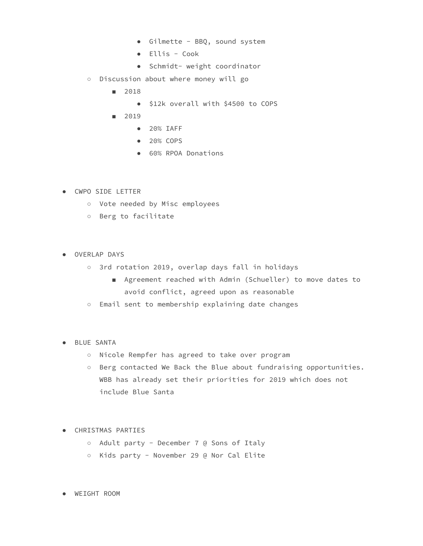- Gilmette BBQ, sound system
- Ellis Cook
- Schmidt- weight coordinator
- Discussion about where money will go
	- 2018
		- \$12k overall with \$4500 to COPS
	- 2019
		- 20% IAFF
		- 20% COPS
		- 60% RPOA Donations
- CWPO SIDE LETTER
	- Vote needed by Misc employees
	- Berg to facilitate
- OVERLAP DAYS
	- 3rd rotation 2019, overlap days fall in holidays
		- Agreement reached with Admin (Schueller) to move dates to avoid conflict, agreed upon as reasonable
	- Email sent to membership explaining date changes
- BLUE SANTA
	- Nicole Rempfer has agreed to take over program
	- Berg contacted We Back the Blue about fundraising opportunities. WBB has already set their priorities for 2019 which does not include Blue Santa
- CHRISTMAS PARTIES
	- Adult party December 7 @ Sons of Italy
	- Kids party November 29 @ Nor Cal Elite

● WEIGHT ROOM